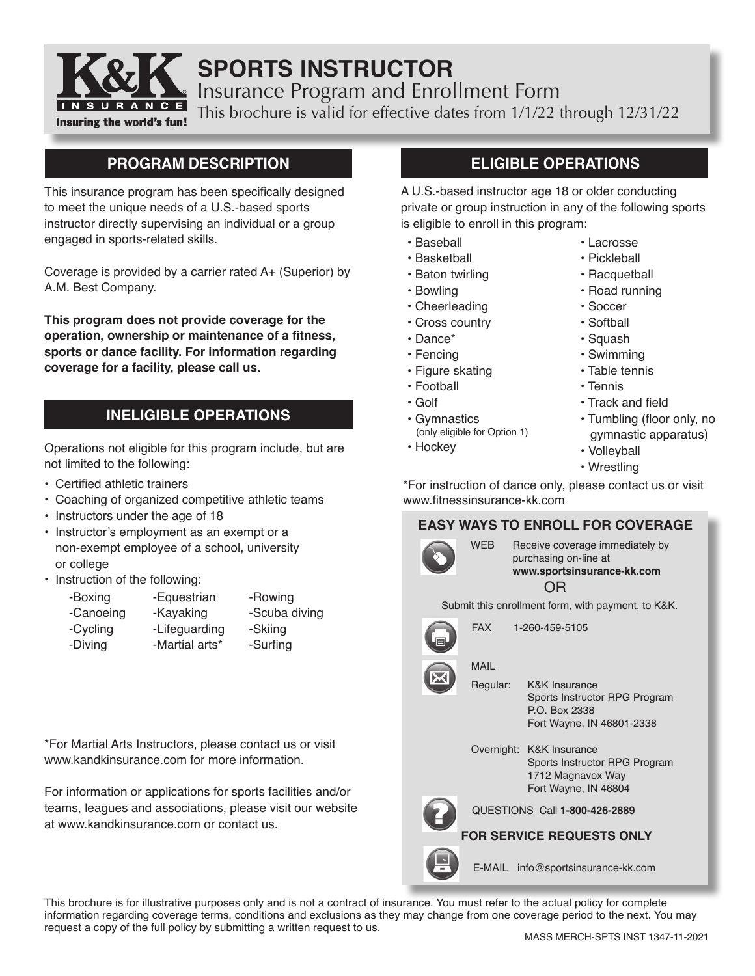

# **SPORTS INSTRUCTOR**

Insurance Program and Enrollment Form

This brochure is valid for effective dates from 1/1/22 through 12/31/22

## **PROGRAM DESCRIPTION**

This insurance program has been specifically designed to meet the unique needs of a U.S.-based sports instructor directly supervising an individual or a group engaged in sports-related skills.

Coverage is provided by a carrier rated A+ (Superior) by A.M. Best Company.

**This program does not provide coverage for the operation, ownership or maintenance of a fitness, sports or dance facility. For information regarding coverage for a facility, please call us.**

## **INELIGIBLE OPERATIONS**

Operations not eligible for this program include, but are not limited to the following:

- Certified athletic trainers
- Coaching of organized competitive athletic teams
- Instructors under the age of 18
- Instructor's employment as an exempt or a non-exempt employee of a school, university or college
- Instruction of the following:

| -Boxing   | -Equestrian    | -Rowing       |
|-----------|----------------|---------------|
| -Canoeing | -Kayaking      | -Scuba diving |
| -Cycling  | -Lifeguarding  | -Skiing       |
| -Diving   | -Martial arts* | -Surfing      |

\*For Martial Arts Instructors, please contact us or visit www.kandkinsurance.com for more information.

For information or applications for sports facilities and/or teams, leagues and associations, please visit our website at www.kandkinsurance.com or contact us.

## **ELIGIBLE OPERATIONS**

A U.S.-based instructor age 18 or older conducting private or group instruction in any of the following sports is eligible to enroll in this program:

- Baseball
- Basketball
- Baton twirling
- Bowling
- Cheerleading
- Cross country
- Dance\*
- Fencing
- Figure skating
- Football
- Golf
- Gymnastics
- (only eligible for Option 1)
- Hockey
- Lacrosse • Pickleball
- Racquetball
- Road running
- Soccer
- Softball
- Squash
- Swimming
- Table tennis
- Tennis
- Track and field
- Tumbling (floor only, no gymnastic apparatus)
- Volleyball
- Wrestling

\*For instruction of dance only, please contact us or visit www.fitnessinsurance-kk.com

## **EASY WAYS TO ENROLL FOR COVERAGE**

|                               | <b>WFB</b><br>Receive coverage immediately by<br>purchasing on-line at<br>www.sportsinsurance-kk.com<br>OR |                                                                                                         |  |
|-------------------------------|------------------------------------------------------------------------------------------------------------|---------------------------------------------------------------------------------------------------------|--|
|                               |                                                                                                            | Submit this enrollment form, with payment, to K&K.                                                      |  |
|                               | <b>FAX</b><br>1-260-459-5105                                                                               |                                                                                                         |  |
|                               | MAII                                                                                                       |                                                                                                         |  |
|                               | Regular:                                                                                                   | <b>K&amp;K Insurance</b><br>Sports Instructor RPG Program<br>P.O. Box 2338<br>Fort Wayne, IN 46801-2338 |  |
|                               | Overnight:                                                                                                 | <b>K&amp;K</b> Insurance<br>Sports Instructor RPG Program<br>1712 Magnavox Way<br>Fort Wayne, IN 46804  |  |
| QUESTIONS Call 1-800-426-2889 |                                                                                                            |                                                                                                         |  |
|                               |                                                                                                            | <b>FOR SERVICE REQUESTS ONLY</b>                                                                        |  |
|                               |                                                                                                            | E-MAIL info@sportsinsurance-kk.com                                                                      |  |

This brochure is for illustrative purposes only and is not a contract of insurance. You must refer to the actual policy for complete information regarding coverage terms, conditions and exclusions as they may change from one coverage period to the next. You may request a copy of the full policy by submitting a written request to us.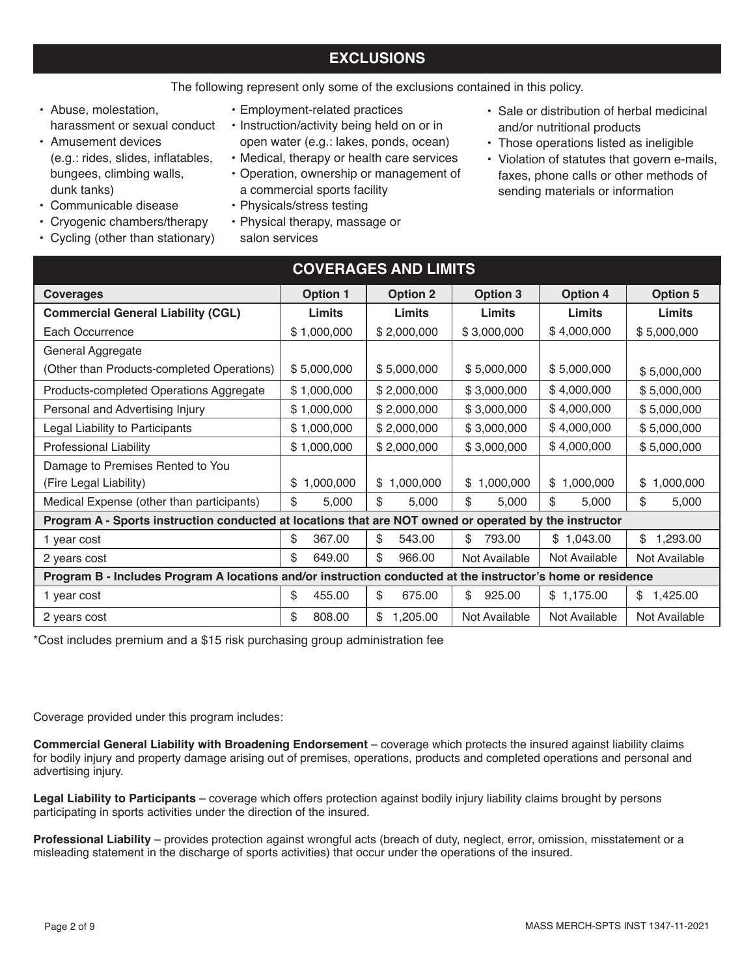## **EXCLUSIONS**

### The following represent only some of the exclusions contained in this policy.

- Abuse, molestation, harassment or sexual conduct
- Amusement devices (e.g.: rides, slides, inflatables, bungees, climbing walls, dunk tanks)
- Communicable disease
- Cryogenic chambers/therapy
- Cycling (other than stationary)
- Employment-related practices
- Instruction/activity being held on or in open water (e.g.: lakes, ponds, ocean)
- Medical, therapy or health care services
- Operation, ownership or management of a commercial sports facility
- Physicals/stress testing
- Physical therapy, massage or salon services
- Sale or distribution of herbal medicinal and/or nutritional products
- Those operations listed as ineligible
- Violation of statutes that govern e-mails, faxes, phone calls or other methods of sending materials or information

| <b>COVERAGES AND LIMITS</b>                                                                                 |                 |                 |                 |                 |                 |
|-------------------------------------------------------------------------------------------------------------|-----------------|-----------------|-----------------|-----------------|-----------------|
| <b>Coverages</b>                                                                                            | <b>Option 1</b> | <b>Option 2</b> | Option 3        | <b>Option 4</b> | <b>Option 5</b> |
| <b>Commercial General Liability (CGL)</b>                                                                   | Limits          | Limits          | Limits          | Limits          | Limits          |
| Each Occurrence                                                                                             | \$1,000,000     | \$2,000,000     | \$3,000,000     | \$4,000,000     | \$5,000,000     |
| General Aggregate                                                                                           |                 |                 |                 |                 |                 |
| (Other than Products-completed Operations)                                                                  | \$5,000,000     | \$5,000,000     | \$5,000,000     | \$5,000,000     | \$5,000,000     |
| Products-completed Operations Aggregate                                                                     | \$1,000,000     | \$2,000,000     | \$3,000,000     | \$4,000,000     | \$5,000,000     |
| Personal and Advertising Injury                                                                             | \$1,000,000     | \$2,000,000     | \$3,000,000     | \$4,000,000     | \$5,000,000     |
| Legal Liability to Participants                                                                             | \$1,000,000     | \$2,000,000     | \$3,000,000     | \$4,000,000     | \$5,000,000     |
| Professional Liability                                                                                      | \$1,000,000     | \$2,000,000     | \$3,000,000     | \$4,000,000     | \$5,000,000     |
| Damage to Premises Rented to You                                                                            |                 |                 |                 |                 |                 |
| (Fire Legal Liability)                                                                                      | 1,000,000<br>\$ | 1,000,000<br>S. | 1,000,000<br>\$ | \$1,000,000     | \$1,000,000     |
| Medical Expense (other than participants)                                                                   | \$<br>5,000     | \$<br>5,000     | \$<br>5,000     | \$<br>5,000     | \$<br>5,000     |
| Program A - Sports instruction conducted at locations that are NOT owned or operated by the instructor      |                 |                 |                 |                 |                 |
| 1 year cost                                                                                                 | \$<br>367.00    | \$<br>543.00    | \$<br>793.00    | \$1,043.00      | \$<br>1,293.00  |
| 2 years cost                                                                                                | \$.<br>649.00   | \$<br>966.00    | Not Available   | Not Available   | Not Available   |
| Program B - Includes Program A locations and/or instruction conducted at the instructor's home or residence |                 |                 |                 |                 |                 |
| 1 year cost                                                                                                 | \$<br>455.00    | \$<br>675.00    | \$<br>925.00    | \$1,175.00      | 1,425.00<br>\$  |
| 2 years cost                                                                                                | \$<br>808.00    | \$<br>1,205.00  | Not Available   | Not Available   | Not Available   |

\*Cost includes premium and a \$15 risk purchasing group administration fee

Coverage provided under this program includes:

**Commercial General Liability with Broadening Endorsement** – coverage which protects the insured against liability claims for bodily injury and property damage arising out of premises, operations, products and completed operations and personal and advertising injury.

**Legal Liability to Participants** – coverage which offers protection against bodily injury liability claims brought by persons participating in sports activities under the direction of the insured.

**Professional Liability** – provides protection against wrongful acts (breach of duty, neglect, error, omission, misstatement or a misleading statement in the discharge of sports activities) that occur under the operations of the insured.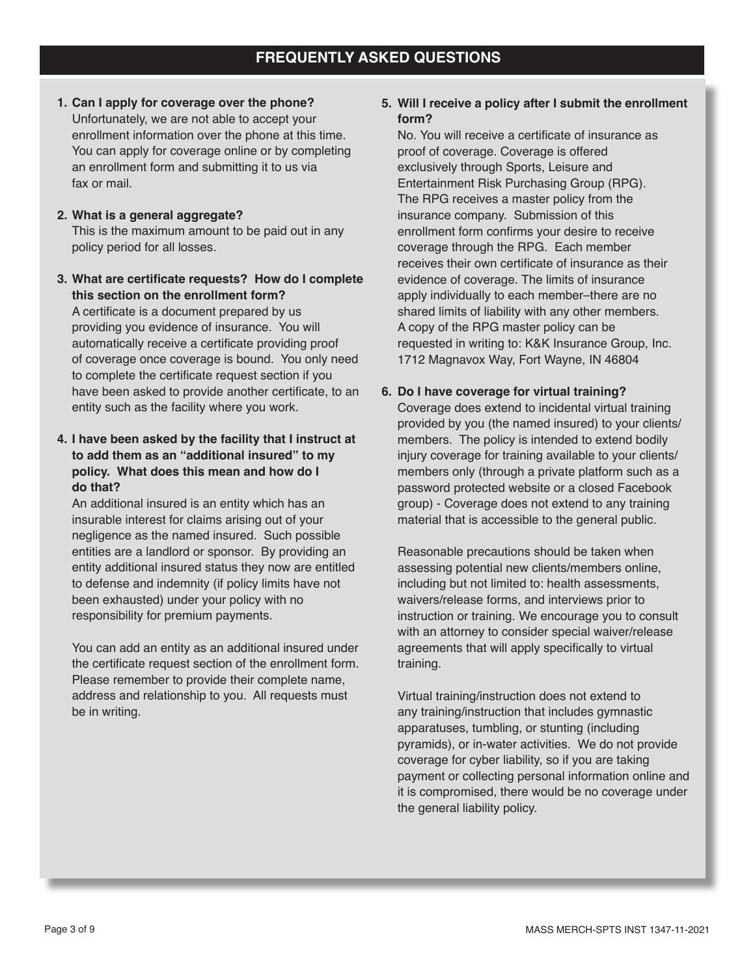**1. Can I apply for coverage over the phone?** Unfortunately, we are not able to accept your enrollment information over the phone at this time. You can apply for coverage online or by completing an enrollment form and submitting it to us via fax or mail.

## **2. What is a general aggregate?** This is the maximum amount to be paid out in any policy period for all losses.

**3. What are certificate requests? How do I complete this section on the enrollment form?** A certificate is a document prepared by us

providing you evidence of insurance. You will automatically receive a certificate providing proof of coverage once coverage is bound. You only need to complete the certificate request section if you have been asked to provide another certificate, to an entity such as the facility where you work.

**4. I have been asked by the facility that I instruct at to add them as an "additional insured" to my policy. What does this mean and how do I do that?**

An additional insured is an entity which has an insurable interest for claims arising out of your negligence as the named insured. Such possible entities are a landlord or sponsor. By providing an entity additional insured status they now are entitled to defense and indemnity (if policy limits have not been exhausted) under your policy with no responsibility for premium payments.

You can add an entity as an additional insured under the certificate request section of the enrollment form. Please remember to provide their complete name, address and relationship to you. All requests must be in writing.

## **5. Will I receive a policy after I submit the enrollment form?**

No. You will receive a certificate of insurance as proof of coverage. Coverage is offered exclusively through Sports, Leisure and Entertainment Risk Purchasing Group (RPG). The RPG receives a master policy from the insurance company. Submission of this enrollment form confirms your desire to receive coverage through the RPG. Each member receives their own certificate of insurance as their evidence of coverage. The limits of insurance apply individually to each member–there are no shared limits of liability with any other members. A copy of the RPG master policy can be requested in writing to: K&K Insurance Group, Inc. 1712 Magnavox Way, Fort Wayne, IN 46804

## **6. Do I have coverage for virtual training?**

Coverage does extend to incidental virtual training provided by you (the named insured) to your clients/ members. The policy is intended to extend bodily injury coverage for training available to your clients/ members only (through a private platform such as a password protected website or a closed Facebook group) - Coverage does not extend to any training material that is accessible to the general public.

Reasonable precautions should be taken when assessing potential new clients/members online, including but not limited to: health assessments, waivers/release forms, and interviews prior to instruction or training. We encourage you to consult with an attorney to consider special waiver/release agreements that will apply specifically to virtual training.

Virtual training/instruction does not extend to any training/instruction that includes gymnastic apparatuses, tumbling, or stunting (including pyramids), or in-water activities. We do not provide coverage for cyber liability, so if you are taking payment or collecting personal information online and it is compromised, there would be no coverage under the general liability policy.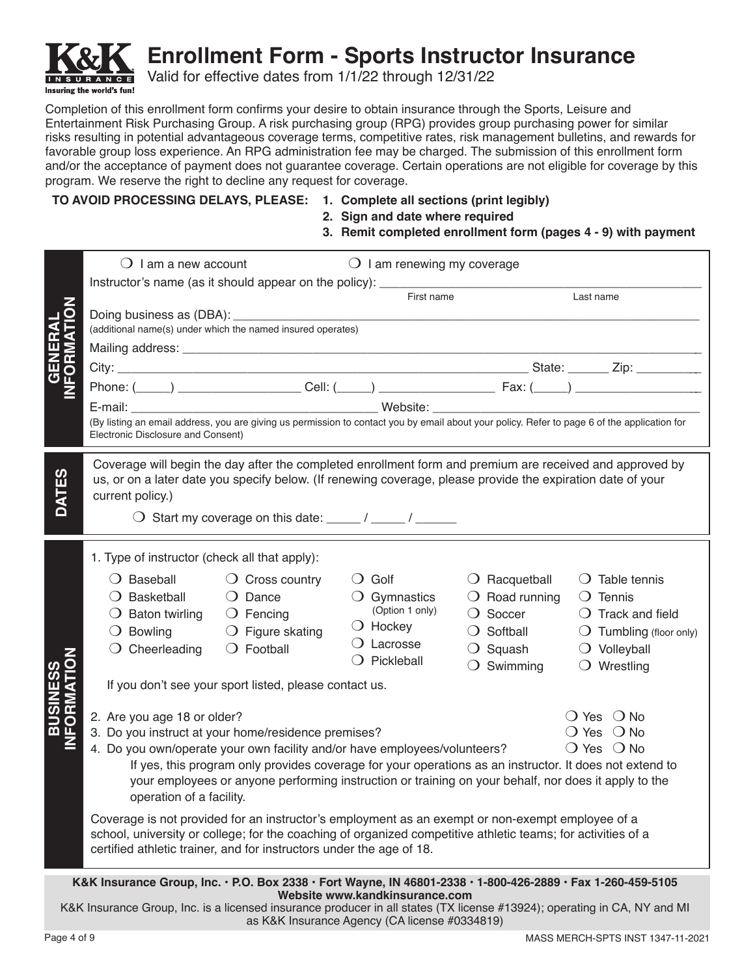

**Enrollment Form - Sports Instructor Insurance**

Valid for effective dates from 1/1/22 through 12/31/22

Completion of this enrollment form confirms your desire to obtain insurance through the Sports, Leisure and Entertainment Risk Purchasing Group. A risk purchasing group (RPG) provides group purchasing power for similar risks resulting in potential advantageous coverage terms, competitive rates, risk management bulletins, and rewards for favorable group loss experience. An RPG administration fee may be charged. The submission of this enrollment form and/or the acceptance of payment does not guarantee coverage. Certain operations are not eligible for coverage by this program. We reserve the right to decline any request for coverage.

## **TO AVOID PROCESSING DELAYS, PLEASE: 1. Complete all sections (print legibly)**

- 
- **2. Sign and date where required**
- **3. Remit completed enrollment form (pages 4 9) with payment**

|                               | $\bigcirc$ I am a new account                                                                                                                                                                                                                                                                                                                                                                                  | $\bigcirc$ I am renewing my coverage                                                                                             |                                                                                                                                           |                                                                                                                                                                 |
|-------------------------------|----------------------------------------------------------------------------------------------------------------------------------------------------------------------------------------------------------------------------------------------------------------------------------------------------------------------------------------------------------------------------------------------------------------|----------------------------------------------------------------------------------------------------------------------------------|-------------------------------------------------------------------------------------------------------------------------------------------|-----------------------------------------------------------------------------------------------------------------------------------------------------------------|
|                               | Instructor's name (as it should appear on the policy): _________________________                                                                                                                                                                                                                                                                                                                               | First name                                                                                                                       |                                                                                                                                           | Last name                                                                                                                                                       |
| C                             |                                                                                                                                                                                                                                                                                                                                                                                                                |                                                                                                                                  |                                                                                                                                           |                                                                                                                                                                 |
|                               | (additional name(s) under which the named insured operates)                                                                                                                                                                                                                                                                                                                                                    |                                                                                                                                  |                                                                                                                                           |                                                                                                                                                                 |
|                               |                                                                                                                                                                                                                                                                                                                                                                                                                |                                                                                                                                  |                                                                                                                                           |                                                                                                                                                                 |
| <b>GENERAL<br/>IFORMATIOI</b> |                                                                                                                                                                                                                                                                                                                                                                                                                |                                                                                                                                  |                                                                                                                                           |                                                                                                                                                                 |
|                               |                                                                                                                                                                                                                                                                                                                                                                                                                |                                                                                                                                  |                                                                                                                                           |                                                                                                                                                                 |
|                               | (By listing an email address, you are giving us permission to contact you by email about your policy. Refer to page 6 of the application for                                                                                                                                                                                                                                                                   |                                                                                                                                  |                                                                                                                                           |                                                                                                                                                                 |
|                               | Electronic Disclosure and Consent)                                                                                                                                                                                                                                                                                                                                                                             |                                                                                                                                  |                                                                                                                                           |                                                                                                                                                                 |
| <b>DATES</b>                  | Coverage will begin the day after the completed enrollment form and premium are received and approved by<br>us, or on a later date you specify below. (If renewing coverage, please provide the expiration date of your<br>current policy.)<br>$\bigcirc$ Start my coverage on this date: _____ / _____ / ______                                                                                               |                                                                                                                                  |                                                                                                                                           |                                                                                                                                                                 |
|                               | 1. Type of instructor (check all that apply):                                                                                                                                                                                                                                                                                                                                                                  |                                                                                                                                  |                                                                                                                                           |                                                                                                                                                                 |
|                               | $\bigcirc$ Baseball<br>$\bigcirc$ Cross country<br>$\bigcirc$ Dance<br>$\bigcirc$ Basketball<br>$\bigcirc$ Baton twirling<br>$\bigcirc$ Fencing<br>$\bigcirc$ Figure skating<br>$\bigcirc$ Bowling<br>$\bigcirc$ Football<br>$\bigcirc$ Cheerleading                                                                                                                                                           | $\bigcirc$ Golf<br>$\bigcirc$ Gymnastics<br>(Option 1 only)<br>$\bigcirc$ Hockey<br>$\bigcirc$ Lacrosse<br>$\bigcirc$ Pickleball | $\bigcirc$ Racquetball<br>$\bigcirc$ Road running<br>$\bigcirc$ Soccer<br>$\bigcirc$ Softball<br>$\bigcirc$ Squash<br>$\bigcirc$ Swimming | $\bigcirc$ Table tennis<br>$\bigcirc$ Tennis<br>$\bigcirc$ Track and field<br>$\bigcirc$ Tumbling (floor only)<br>$\bigcirc$ Volleyball<br>$\bigcirc$ Wrestling |
|                               | If you don't see your sport listed, please contact us.                                                                                                                                                                                                                                                                                                                                                         |                                                                                                                                  |                                                                                                                                           |                                                                                                                                                                 |
| <b>BUSINES<br/>IFORMAT</b>    | 2. Are you age 18 or older?<br>3. Do you instruct at your home/residence premises?<br>4. Do you own/operate your own facility and/or have employees/volunteers?<br>If yes, this program only provides coverage for your operations as an instructor. It does not extend to<br>your employees or anyone performing instruction or training on your behalf, nor does it apply to the<br>operation of a facility. |                                                                                                                                  |                                                                                                                                           | $\bigcirc$ Yes $\bigcirc$ No<br>$\bigcirc$ Yes $\bigcirc$ No<br>$\bigcirc$ Yes $\bigcirc$ No                                                                    |
|                               | Coverage is not provided for an instructor's employment as an exempt or non-exempt employee of a<br>school, university or college; for the coaching of organized competitive athletic teams; for activities of a<br>certified athletic trainer, and for instructors under the age of 18.                                                                                                                       |                                                                                                                                  |                                                                                                                                           |                                                                                                                                                                 |
|                               | K&K Insurance Group, Inc. · P.O. Box 2338 · Fort Wayne, IN 46801-2338 · 1-800-426-2889 · Fax 1-260-459-5105                                                                                                                                                                                                                                                                                                    | Website www.kandkinsurance.com                                                                                                   |                                                                                                                                           |                                                                                                                                                                 |
|                               | K&K Incurance Group Inc. is a licensed insurance producer in all states (TY license #13024); operating in CA NV and ML                                                                                                                                                                                                                                                                                         |                                                                                                                                  |                                                                                                                                           |                                                                                                                                                                 |

K&K Insurance Group, Inc. is a licensed insurance producer in all states (TX license #13924); operating in CA, NY and MI as K&K Insurance Agency (CA license #0334819)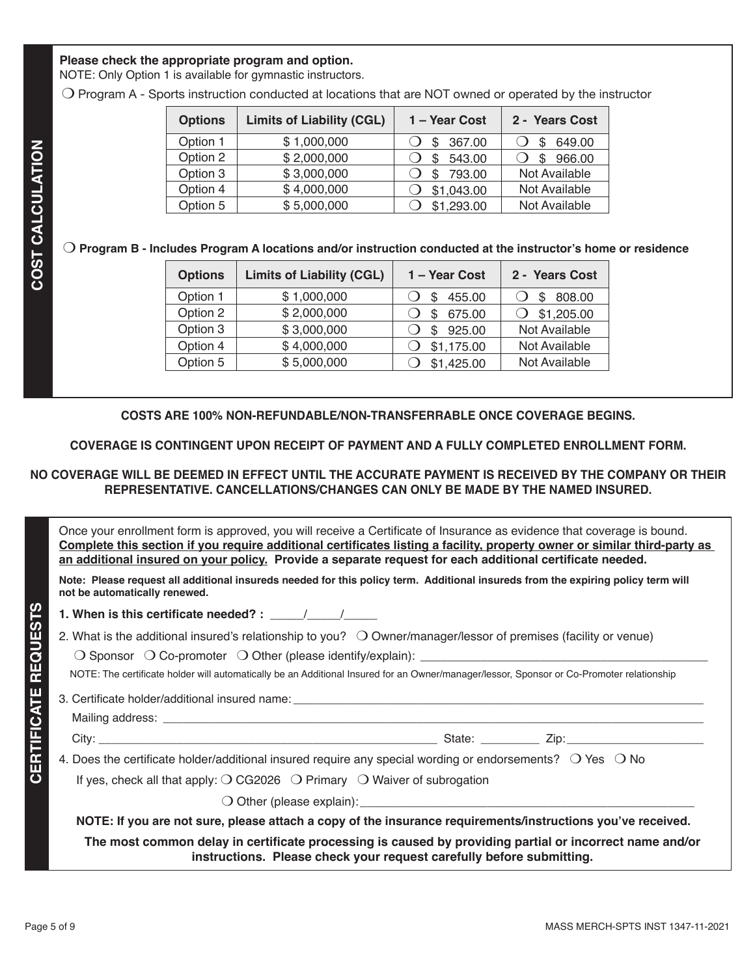### **Please check the appropriate program and option.**

NOTE: Only Option 1 is available for gymnastic instructors.

m Program A - Sports instruction conducted at locations that are NOT owned or operated by the instructor

| <b>Limits of Liability (CGL)</b> | 1 - Year Cost | 2 - Years Cost |
|----------------------------------|---------------|----------------|
| \$1,000,000                      | 367.00<br>\$. | 649.00         |
| \$2,000,000                      | 543.00<br>\$  | 966.00         |
| \$3,000,000                      | 793.00<br>\$  | Not Available  |
| \$4,000,000                      | \$1,043.00    | Not Available  |
| \$5,000,000                      | \$1,293.00    | Not Available  |
|                                  |               |                |

### $\bigcirc$  Program B - Includes Program A locations and/or instruction conducted at the instructor's home or residence

| <b>Options</b> | <b>Limits of Liability (CGL)</b> | 1 - Year Cost | 2 - Years Cost |
|----------------|----------------------------------|---------------|----------------|
| Option 1       | \$1,000,000                      | 455.00<br>S   | 808.00<br>\$.  |
| Option 2       | \$2,000,000                      | 675.00        | \$1,205.00     |
| Option 3       | \$3,000,000                      | 925.00<br>\$. | Not Available  |
| Option 4       | \$4,000,000                      | \$1,175.00    | Not Available  |
| Option 5       | \$5,000,000                      | \$1,425.00    | Not Available  |

**COSTS ARE 100% NON-REFUNDABLE/NON-TRANSFERRABLE ONCE COVERAGE BEGINS.** 

**COVERAGE IS CONTINGENT UPON RECEIPT OF PAYMENT AND A FULLY COMPLETED ENROLLMENT FORM.** 

## **NO COVERAGE WILL BE DEEMED IN EFFECT UNTIL THE ACCURATE PAYMENT IS RECEIVED BY THE COMPANY OR THEIR REPRESENTATIVE. CANCELLATIONS/CHANGES CAN ONLY BE MADE BY THE NAMED INSURED.**

| Once your enrollment form is approved, you will receive a Certificate of Insurance as evidence that coverage is bound.<br>Complete this section if you require additional certificates listing a facility, property owner or similar third-party as<br>an additional insured on your policy. Provide a separate request for each additional certificate needed. |
|-----------------------------------------------------------------------------------------------------------------------------------------------------------------------------------------------------------------------------------------------------------------------------------------------------------------------------------------------------------------|
| Note: Please request all additional insureds needed for this policy term. Additional insureds from the expiring policy term will<br>not be automatically renewed.                                                                                                                                                                                               |

**1. When is this certificate needed? :**  $\frac{1}{2}$ 

m Sponsor m Co-promoter m Other (please identify/explain): \_\_\_\_\_\_\_\_\_\_\_\_\_\_\_\_\_\_\_\_\_\_\_\_\_\_\_\_\_\_\_\_\_\_\_\_\_\_\_\_\_\_\_

NOTE: The certificate holder will automatically be an Additional Insured for an Owner/manager/lessor, Sponsor or Co-Promoter relationship

3. Certificate holder/additional insured name:

Mailing address:

City: \_\_\_\_\_\_\_\_\_\_\_\_\_\_\_\_\_\_\_\_\_\_\_\_\_\_\_\_\_\_\_\_\_\_\_\_\_\_\_\_\_\_\_\_\_\_\_\_\_\_\_\_ State: \_\_\_\_\_\_\_\_\_ Zip:\_\_\_\_\_\_\_\_\_\_\_\_\_\_\_\_\_\_\_\_\_

4. Does the certificate holder/additional insured require any special wording or endorsements?  $\bigcirc$  Yes  $\bigcirc$  No

If yes, check all that apply:  $\bigcirc$  CG2026  $\bigcirc$  Primary  $\bigcirc$  Waiver of subrogation

 $\bigcirc$  Other (please explain):

**NOTE: If you are not sure, please attach a copy of the insurance requirements/instructions you've received.**

**The most common delay in certificate processing is caused by providing partial or incorrect name and/or instructions. Please check your request carefully before submitting.**

**CERTIFICATE REQUESTS**

**CERTIFICATE REQUESTS**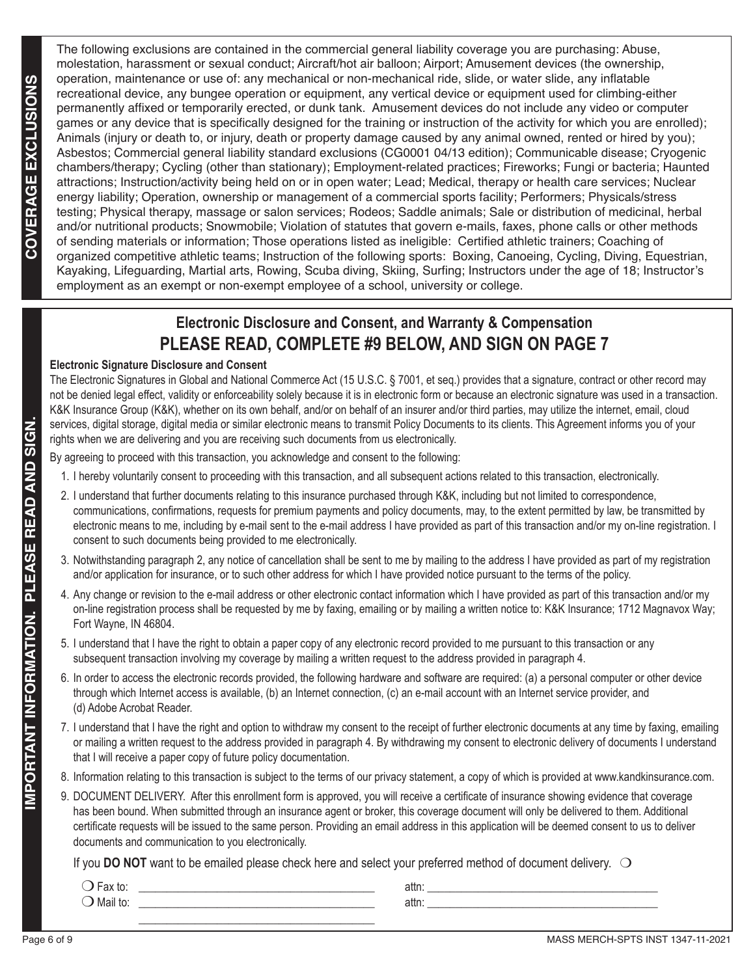The following exclusions are contained in the commercial general liability coverage you are purchasing: Abuse, molestation, harassment or sexual conduct; Aircraft/hot air balloon; Airport; Amusement devices (the ownership, operation, maintenance or use of: any mechanical or non-mechanical ride, slide, or water slide, any inflatable recreational device, any bungee operation or equipment, any vertical device or equipment used for climbing-either permanently affixed or temporarily erected, or dunk tank. Amusement devices do not include any video or computer games or any device that is specifically designed for the training or instruction of the activity for which you are enrolled); Animals (injury or death to, or injury, death or property damage caused by any animal owned, rented or hired by you); Asbestos; Commercial general liability standard exclusions (CG0001 04/13 edition); Communicable disease; Cryogenic chambers/therapy; Cycling (other than stationary); Employment-related practices; Fireworks; Fungi or bacteria; Haunted attractions; Instruction/activity being held on or in open water; Lead; Medical, therapy or health care services; Nuclear energy liability; Operation, ownership or management of a commercial sports facility; Performers; Physicals/stress testing; Physical therapy, massage or salon services; Rodeos; Saddle animals; Sale or distribution of medicinal, herbal and/or nutritional products; Snowmobile; Violation of statutes that govern e-mails, faxes, phone calls or other methods of sending materials or information; Those operations listed as ineligible: Certified athletic trainers; Coaching of organized competitive athletic teams; Instruction of the following sports: Boxing, Canoeing, Cycling, Diving, Equestrian, Kayaking, Lifeguarding, Martial arts, Rowing, Scuba diving, Skiing, Surfing; Instructors under the age of 18; Instructor's employment as an exempt or non-exempt employee of a school, university or college.

## **Electronic Disclosure and Consent, and Warranty & Compensation PLEASE READ, COMPLETE #9 BELOW, AND SIGN ON PAGE 7**

### **Electronic Signature Disclosure and Consent**

The Electronic Signatures in Global and National Commerce Act (15 U.S.C. § 7001, et seq.) provides that a signature, contract or other record may not be denied legal effect, validity or enforceability solely because it is in electronic form or because an electronic signature was used in a transaction. K&K Insurance Group (K&K), whether on its own behalf, and/or on behalf of an insurer and/or third parties, may utilize the internet, email, cloud services, digital storage, digital media or similar electronic means to transmit Policy Documents to its clients. This Agreement informs you of your rights when we are delivering and you are receiving such documents from us electronically.

By agreeing to proceed with this transaction, you acknowledge and consent to the following:

- 1. I hereby voluntarily consent to proceeding with this transaction, and all subsequent actions related to this transaction, electronically.
- 2. I understand that further documents relating to this insurance purchased through K&K, including but not limited to correspondence, communications, confirmations, requests for premium payments and policy documents, may, to the extent permitted by law, be transmitted by electronic means to me, including by e-mail sent to the e-mail address I have provided as part of this transaction and/or my on-line registration. I consent to such documents being provided to me electronically.
- 3. Notwithstanding paragraph 2, any notice of cancellation shall be sent to me by mailing to the address I have provided as part of my registration and/or application for insurance, or to such other address for which I have provided notice pursuant to the terms of the policy.
- 4. Any change or revision to the e-mail address or other electronic contact information which I have provided as part of this transaction and/or my on-line registration process shall be requested by me by faxing, emailing or by mailing a written notice to: K&K Insurance; 1712 Magnavox Way; Fort Wayne, IN 46804.
- 5. I understand that I have the right to obtain a paper copy of any electronic record provided to me pursuant to this transaction or any subsequent transaction involving my coverage by mailing a written request to the address provided in paragraph 4.
- 6. In order to access the electronic records provided, the following hardware and software are required: (a) a personal computer or other device through which Internet access is available, (b) an Internet connection, (c) an e-mail account with an Internet service provider, and (d) Adobe Acrobat Reader.
- 7. I understand that I have the right and option to withdraw my consent to the receipt of further electronic documents at any time by faxing, emailing or mailing a written request to the address provided in paragraph 4. By withdrawing my consent to electronic delivery of documents I understand that I will receive a paper copy of future policy documentation.
- 8. Information relating to this transaction is subject to the terms of our privacy statement, a copy of which is provided at www.kandkinsurance.com.
- 9. DOCUMENT DELIVERY. After this enrollment form is approved, you will receive a certificate of insurance showing evidence that coverage has been bound. When submitted through an insurance agent or broker, this coverage document will only be delivered to them. Additional certificate requests will be issued to the same person. Providing an email address in this application will be deemed consent to us to deliver documents and communication to you electronically.

If you **DO NOT** want to be emailed please check here and select your preferred method of document delivery.  $\bigcirc$ 

| $\overline{\phantom{0}}$<br>$-0$<br>-ax to | attn: |  |
|--------------------------------------------|-------|--|
| Mail to                                    | attn: |  |
|                                            |       |  |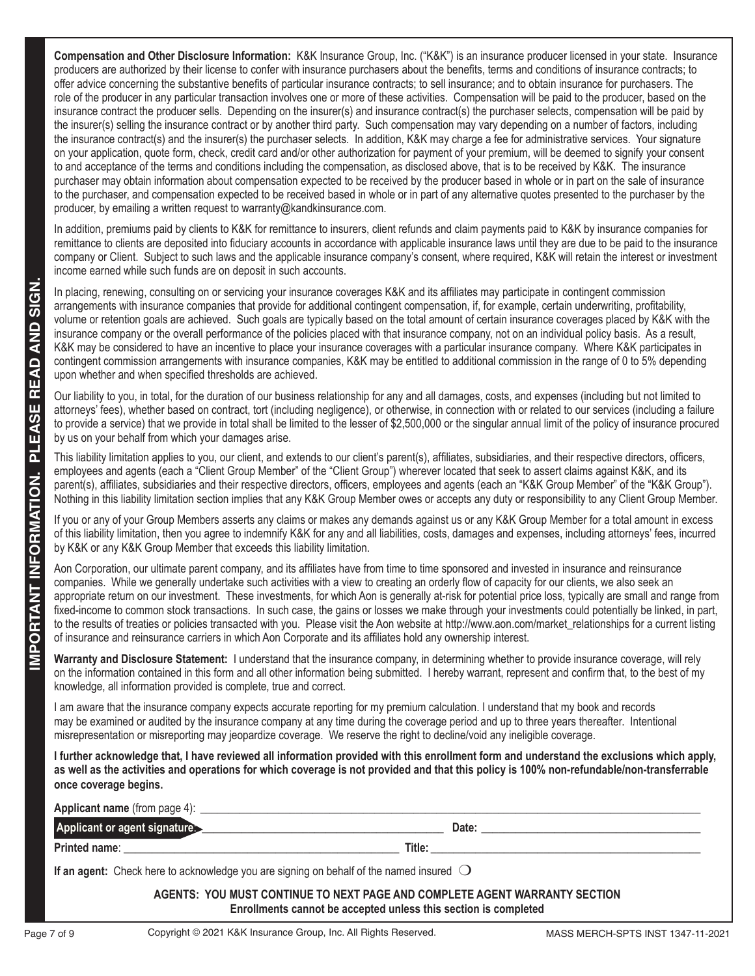**Compensation and Other Disclosure Information:** K&K Insurance Group, Inc. ("K&K") is an insurance producer licensed in your state. Insurance producers are authorized by their license to confer with insurance purchasers about the benefits, terms and conditions of insurance contracts; to offer advice concerning the substantive benefits of particular insurance contracts; to sell insurance; and to obtain insurance for purchasers. The role of the producer in any particular transaction involves one or more of these activities. Compensation will be paid to the producer, based on the insurance contract the producer sells. Depending on the insurer(s) and insurance contract(s) the purchaser selects, compensation will be paid by the insurer(s) selling the insurance contract or by another third party. Such compensation may vary depending on a number of factors, including the insurance contract(s) and the insurer(s) the purchaser selects. In addition, K&K may charge a fee for administrative services. Your signature on your application, quote form, check, credit card and/or other authorization for payment of your premium, will be deemed to signify your consent to and acceptance of the terms and conditions including the compensation, as disclosed above, that is to be received by K&K. The insurance purchaser may obtain information about compensation expected to be received by the producer based in whole or in part on the sale of insurance to the purchaser, and compensation expected to be received based in whole or in part of any alternative quotes presented to the purchaser by the producer, by emailing a written request to warranty@kandkinsurance.com.

In addition, premiums paid by clients to K&K for remittance to insurers, client refunds and claim payments paid to K&K by insurance companies for remittance to clients are deposited into fiduciary accounts in accordance with applicable insurance laws until they are due to be paid to the insurance company or Client. Subject to such laws and the applicable insurance company's consent, where required, K&K will retain the interest or investment income earned while such funds are on deposit in such accounts.

|                        | Enrollments cannot be accepted unless this section is completed<br>Copyright © 2021 K&K Insurance Group, Inc. All Rights Reserved.<br>Page 7 of 9                                                                                                                                                                                                                                                                                                                                                                                                                                                                                                                                                                                                                                                                                                                                                                                                               | MASS MERCH-SPTS INST 1347-11-2021                                                                                                                                                                                              |
|------------------------|-----------------------------------------------------------------------------------------------------------------------------------------------------------------------------------------------------------------------------------------------------------------------------------------------------------------------------------------------------------------------------------------------------------------------------------------------------------------------------------------------------------------------------------------------------------------------------------------------------------------------------------------------------------------------------------------------------------------------------------------------------------------------------------------------------------------------------------------------------------------------------------------------------------------------------------------------------------------|--------------------------------------------------------------------------------------------------------------------------------------------------------------------------------------------------------------------------------|
|                        | AGENTS: YOU MUST CONTINUE TO NEXT PAGE AND COMPLETE AGENT WARRANTY SECTION                                                                                                                                                                                                                                                                                                                                                                                                                                                                                                                                                                                                                                                                                                                                                                                                                                                                                      |                                                                                                                                                                                                                                |
|                        | If an agent: Check here to acknowledge you are signing on behalf of the named insured $\bigcirc$                                                                                                                                                                                                                                                                                                                                                                                                                                                                                                                                                                                                                                                                                                                                                                                                                                                                |                                                                                                                                                                                                                                |
|                        | <b>Printed name:</b><br><u> 1980 - Jan James James Barnett, amerikan basar pada 2000 - Jan James James James James James James James Jam</u>                                                                                                                                                                                                                                                                                                                                                                                                                                                                                                                                                                                                                                                                                                                                                                                                                    | Title: The contract of the contract of the contract of the contract of the contract of the contract of the contract of the contract of the contract of the contract of the contract of the contract of the contract of the con |
|                        | Applicant or agent signature:                                                                                                                                                                                                                                                                                                                                                                                                                                                                                                                                                                                                                                                                                                                                                                                                                                                                                                                                   | Date:                                                                                                                                                                                                                          |
|                        | Applicant name (from page 4):                                                                                                                                                                                                                                                                                                                                                                                                                                                                                                                                                                                                                                                                                                                                                                                                                                                                                                                                   |                                                                                                                                                                                                                                |
|                        | as well as the activities and operations for which coverage is not provided and that this policy is 100% non-refundable/non-transferrable<br>once coverage begins.                                                                                                                                                                                                                                                                                                                                                                                                                                                                                                                                                                                                                                                                                                                                                                                              |                                                                                                                                                                                                                                |
|                        | misrepresentation or misreporting may jeopardize coverage. We reserve the right to decline/void any ineligible coverage.<br>I further acknowledge that, I have reviewed all information provided with this enrollment form and understand the exclusions which apply,                                                                                                                                                                                                                                                                                                                                                                                                                                                                                                                                                                                                                                                                                           |                                                                                                                                                                                                                                |
|                        | I am aware that the insurance company expects accurate reporting for my premium calculation. I understand that my book and records<br>may be examined or audited by the insurance company at any time during the coverage period and up to three years thereafter. Intentional                                                                                                                                                                                                                                                                                                                                                                                                                                                                                                                                                                                                                                                                                  |                                                                                                                                                                                                                                |
|                        | on the information contained in this form and all other information being submitted. I hereby warrant, represent and confirm that, to the best of my<br>knowledge, all information provided is complete, true and correct.                                                                                                                                                                                                                                                                                                                                                                                                                                                                                                                                                                                                                                                                                                                                      |                                                                                                                                                                                                                                |
|                        | Warranty and Disclosure Statement: I understand that the insurance company, in determining whether to provide insurance coverage, will rely                                                                                                                                                                                                                                                                                                                                                                                                                                                                                                                                                                                                                                                                                                                                                                                                                     |                                                                                                                                                                                                                                |
| IMPORTANT INFORMATION. | Aon Corporation, our ultimate parent company, and its affiliates have from time to time sponsored and invested in insurance and reinsurance<br>companies. While we generally undertake such activities with a view to creating an orderly flow of capacity for our clients, we also seek an<br>appropriate return on our investment. These investments, for which Aon is generally at-risk for potential price loss, typically are small and range from<br>fixed-income to common stock transactions. In such case, the gains or losses we make through your investments could potentially be linked, in part,<br>to the results of treaties or policies transacted with you. Please visit the Aon website at http://www.aon.com/market relationships for a current listing<br>of insurance and reinsurance carriers in which Aon Corporate and its affiliates hold any ownership interest.                                                                     |                                                                                                                                                                                                                                |
|                        | If you or any of your Group Members asserts any claims or makes any demands against us or any K&K Group Member for a total amount in excess<br>of this liability limitation, then you agree to indemnify K&K for any and all liabilities, costs, damages and expenses, including attorneys' fees, incurred<br>by K&K or any K&K Group Member that exceeds this liability limitation.                                                                                                                                                                                                                                                                                                                                                                                                                                                                                                                                                                            |                                                                                                                                                                                                                                |
|                        | This liability limitation applies to you, our client, and extends to our client's parent(s), affiliates, subsidiaries, and their respective directors, officers,<br>employees and agents (each a "Client Group Member" of the "Client Group") wherever located that seek to assert claims against K&K, and its<br>parent(s), affiliates, subsidiaries and their respective directors, officers, employees and agents (each an "K&K Group Member" of the "K&K Group").<br>Nothing in this liability limitation section implies that any K&K Group Member owes or accepts any duty or responsibility to any Client Group Member.                                                                                                                                                                                                                                                                                                                                  |                                                                                                                                                                                                                                |
|                        | Our liability to you, in total, for the duration of our business relationship for any and all damages, costs, and expenses (including but not limited to<br>attorneys' fees), whether based on contract, tort (including negligence), or otherwise, in connection with or related to our services (including a failure<br>to provide a service) that we provide in total shall be limited to the lesser of \$2,500,000 or the singular annual limit of the policy of insurance procured<br>by us on your behalf from which your damages arise.                                                                                                                                                                                                                                                                                                                                                                                                                  |                                                                                                                                                                                                                                |
| PLEASE READ AND SIGN.  | In placing, renewing, consulting on or servicing your insurance coverages K&K and its affiliates may participate in contingent commission<br>arrangements with insurance companies that provide for additional contingent compensation, if, for example, certain underwriting, profitability,<br>volume or retention goals are achieved. Such goals are typically based on the total amount of certain insurance coverages placed by K&K with the<br>insurance company or the overall performance of the policies placed with that insurance company, not on an individual policy basis. As a result,<br>K&K may be considered to have an incentive to place your insurance coverages with a particular insurance company. Where K&K participates in<br>contingent commission arrangements with insurance companies, K&K may be entitled to additional commission in the range of 0 to 5% depending<br>upon whether and when specified thresholds are achieved. |                                                                                                                                                                                                                                |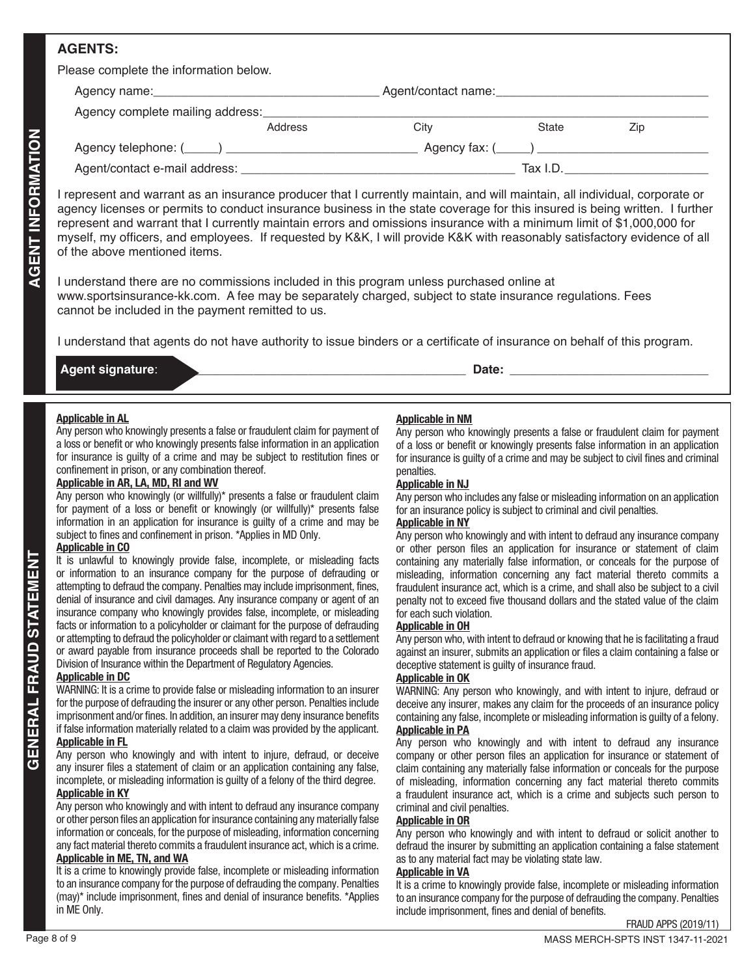## **AGENTS:**

| Please complete the information below. |         |                     |          |     |  |
|----------------------------------------|---------|---------------------|----------|-----|--|
|                                        |         | Agent/contact name: |          |     |  |
| Agency complete mailing address:       |         |                     |          |     |  |
|                                        | Address | City                | State    | Zip |  |
|                                        |         |                     |          |     |  |
|                                        |         |                     | Tax I.D. |     |  |

Paperty identifieds in the strengtheorem of the strengtheorem in the strengtheorem in the strengtheorem in the strengtheorem in the strengtheorem in the strengtheorem in the strengtheorem in the strengtheorem in the streng I represent and warrant as an insurance producer that I currently maintain, and will maintain, all individual, corporate or agency licenses or permits to conduct insurance business in the state coverage for this insured is being written. I further represent and warrant that I currently maintain errors and omissions insurance with a minimum limit of \$1,000,000 for myself, my officers, and employees. If requested by K&K, I will provide K&K with reasonably satisfactory evidence of all of the above mentioned items.

I understand there are no commissions included in this program unless purchased online at www.sportsinsurance-kk.com. A fee may be separately charged, subject to state insurance regulations. Fees cannot be included in the payment remitted to us.

I understand that agents do not have authority to issue binders or a certificate of insurance on behalf of this program.

## **Agent signature**: \_\_\_\_\_\_\_\_\_\_\_\_\_\_\_\_\_\_\_\_\_\_\_\_\_\_\_\_\_\_\_\_\_\_\_\_\_\_\_\_\_\_\_\_ **Date:** \_\_\_\_\_\_\_\_\_\_\_\_\_\_\_\_\_\_\_\_\_\_\_\_\_\_\_\_\_

#### **Applicable in AL**

Any person who knowingly presents a false or fraudulent claim for payment of a loss or benefit or who knowingly presents false information in an application for insurance is guilty of a crime and may be subject to restitution fines or confinement in prison, or any combination thereof.

### **Applicable in AR, LA, MD, RI and WV**

Any person who knowingly (or willfully)\* presents a false or fraudulent claim for payment of a loss or benefit or knowingly (or willfully)\* presents false information in an application for insurance is guilty of a crime and may be subject to fines and confinement in prison. \*Applies in MD Only.

#### **Applicable in CO**

It is unlawful to knowingly provide false, incomplete, or misleading facts or information to an insurance company for the purpose of defrauding or attempting to defraud the company. Penalties may include imprisonment, fines, denial of insurance and civil damages. Any insurance company or agent of an insurance company who knowingly provides false, incomplete, or misleading facts or information to a policyholder or claimant for the purpose of defrauding or attempting to defraud the policyholder or claimant with regard to a settlement or award payable from insurance proceeds shall be reported to the Colorado Division of Insurance within the Department of Regulatory Agencies.

#### **Applicable in DC**

WARNING: It is a crime to provide false or misleading information to an insurer for the purpose of defrauding the insurer or any other person. Penalties include imprisonment and/or fines. In addition, an insurer may deny insurance benefits if false information materially related to a claim was provided by the applicant. **Applicable in FL**

Any person who knowingly and with intent to injure, defraud, or deceive any insurer files a statement of claim or an application containing any false, incomplete, or misleading information is guilty of a felony of the third degree. **Applicable in KY**

#### Any person who knowingly and with intent to defraud any insurance company or other person files an application for insurance containing any materially false information or conceals, for the purpose of misleading, information concerning any fact material thereto commits a fraudulent insurance act, which is a crime. **Applicable in ME, TN, and WA**

#### It is a crime to knowingly provide false, incomplete or misleading information to an insurance company for the purpose of defrauding the company. Penalties (may)\* include imprisonment, fines and denial of insurance benefits. \*Applies in ME Only.

### **Applicable in NM**

Any person who knowingly presents a false or fraudulent claim for payment of a loss or benefit or knowingly presents false information in an application for insurance is guilty of a crime and may be subject to civil fines and criminal penalties.

#### **Applicable in NJ**

Any person who includes any false or misleading information on an application for an insurance policy is subject to criminal and civil penalties.

#### **Applicable in NY**

Any person who knowingly and with intent to defraud any insurance company or other person files an application for insurance or statement of claim containing any materially false information, or conceals for the purpose of misleading, information concerning any fact material thereto commits a fraudulent insurance act, which is a crime, and shall also be subject to a civil penalty not to exceed five thousand dollars and the stated value of the claim for each such violation.

#### **Applicable in OH**

Any person who, with intent to defraud or knowing that he is facilitating a fraud against an insurer, submits an application or files a claim containing a false or deceptive statement is guilty of insurance fraud.

#### **Applicable in OK**

WARNING: Any person who knowingly, and with intent to injure, defraud or deceive any insurer, makes any claim for the proceeds of an insurance policy containing any false, incomplete or misleading information is guilty of a felony. **Applicable in PA**

#### Any person who knowingly and with intent to defraud any insurance company or other person files an application for insurance or statement of claim containing any materially false information or conceals for the purpose of misleading, information concerning any fact material thereto commits a fraudulent insurance act, which is a crime and subjects such person to criminal and civil penalties.

#### **Applicable in OR**

Any person who knowingly and with intent to defraud or solicit another to defraud the insurer by submitting an application containing a false statement as to any material fact may be violating state law.

#### **Applicable in VA**

It is a crime to knowingly provide false, incomplete or misleading information to an insurance company for the purpose of defrauding the company. Penalties include imprisonment, fines and denial of benefits.

FRAUD APPS (2019/11)